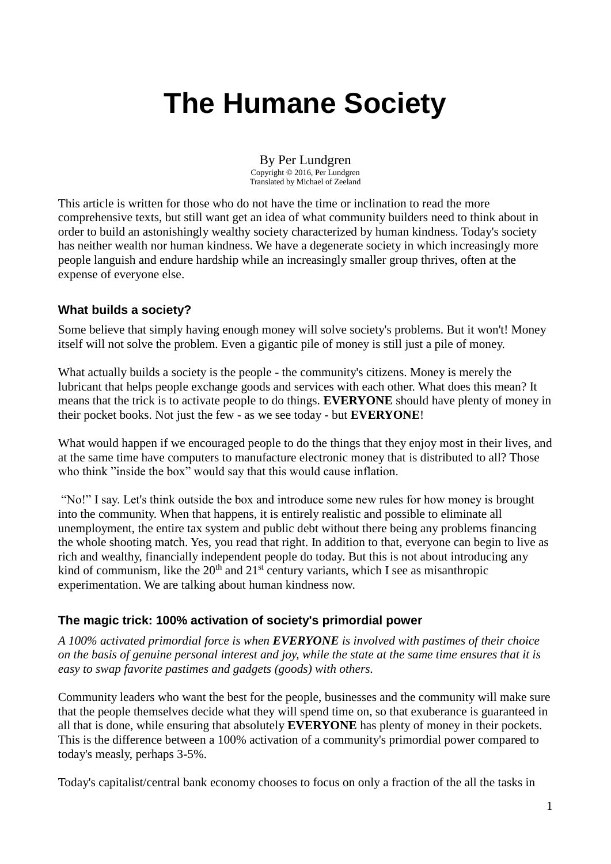# **The Humane Society**

By Per Lundgren Copyright © 2016, Per Lundgren Translated by Michael of Zeeland

This article is written for those who do not have the time or inclination to read the more comprehensive texts, but still want get an idea of what community builders need to think about in order to build an astonishingly wealthy society characterized by human kindness. Today's society has neither wealth nor human kindness. We have a degenerate society in which increasingly more people languish and endure hardship while an increasingly smaller group thrives, often at the expense of everyone else.

## **What builds a society?**

Some believe that simply having enough money will solve society's problems. But it won't! Money itself will not solve the problem. Even a gigantic pile of money is still just a pile of money.

What actually builds a society is the people - the community's citizens. Money is merely the lubricant that helps people exchange goods and services with each other. What does this mean? It means that the trick is to activate people to do things. **EVERYONE** should have plenty of money in their pocket books. Not just the few - as we see today - but **EVERYONE**!

What would happen if we encouraged people to do the things that they enjoy most in their lives, and at the same time have computers to manufacture electronic money that is distributed to all? Those who think "inside the box" would say that this would cause inflation.

"No!" I say. Let's think outside the box and introduce some new rules for how money is brought into the community. When that happens, it is entirely realistic and possible to eliminate all unemployment, the entire tax system and public debt without there being any problems financing the whole shooting match. Yes, you read that right. In addition to that, everyone can begin to live as rich and wealthy, financially independent people do today. But this is not about introducing any kind of communism, like the  $20<sup>th</sup>$  and  $21<sup>st</sup>$  century variants, which I see as misanthropic experimentation. We are talking about human kindness now.

# **The magic trick: 100% activation of society's primordial power**

*A 100% activated primordial force is when EVERYONE is involved with pastimes of their choice on the basis of genuine personal interest and joy, while the state at the same time ensures that it is easy to swap favorite pastimes and gadgets (goods) with others.*

Community leaders who want the best for the people, businesses and the community will make sure that the people themselves decide what they will spend time on, so that exuberance is guaranteed in all that is done, while ensuring that absolutely **EVERYONE** has plenty of money in their pockets. This is the difference between a 100% activation of a community's primordial power compared to today's measly, perhaps 3-5%.

Today's capitalist/central bank economy chooses to focus on only a fraction of the all the tasks in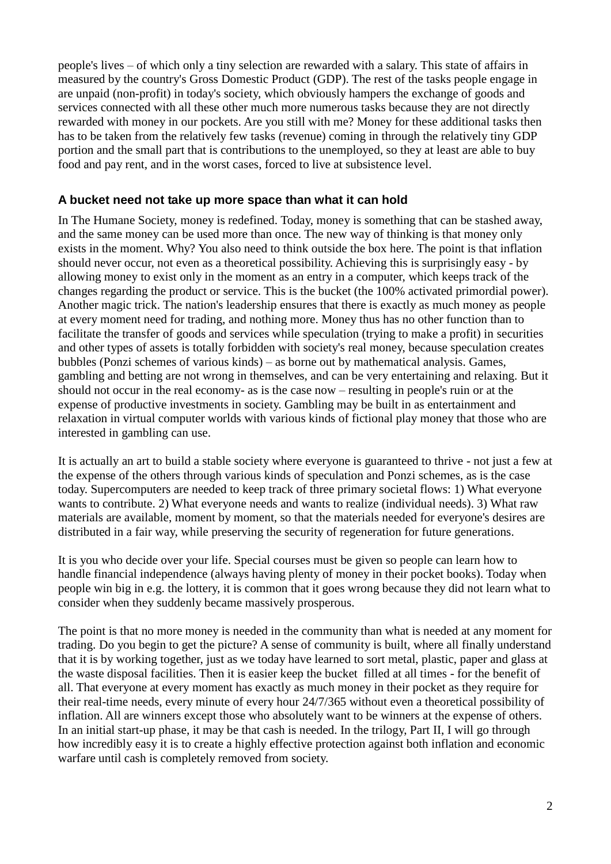people's lives – of which only a tiny selection are rewarded with a salary. This state of affairs in measured by the country's Gross Domestic Product (GDP). The rest of the tasks people engage in are unpaid (non-profit) in today's society, which obviously hampers the exchange of goods and services connected with all these other much more numerous tasks because they are not directly rewarded with money in our pockets. Are you still with me? Money for these additional tasks then has to be taken from the relatively few tasks (revenue) coming in through the relatively tiny GDP portion and the small part that is contributions to the unemployed, so they at least are able to buy food and pay rent, and in the worst cases, forced to live at subsistence level.

## **A bucket need not take up more space than what it can hold**

In The Humane Society, money is redefined. Today, money is something that can be stashed away, and the same money can be used more than once. The new way of thinking is that money only exists in the moment. Why? You also need to think outside the box here. The point is that inflation should never occur, not even as a theoretical possibility. Achieving this is surprisingly easy - by allowing money to exist only in the moment as an entry in a computer, which keeps track of the changes regarding the product or service. This is the bucket (the 100% activated primordial power). Another magic trick. The nation's leadership ensures that there is exactly as much money as people at every moment need for trading, and nothing more. Money thus has no other function than to facilitate the transfer of goods and services while speculation (trying to make a profit) in securities and other types of assets is totally forbidden with society's real money, because speculation creates bubbles (Ponzi schemes of various kinds) – as borne out by mathematical analysis. Games, gambling and betting are not wrong in themselves, and can be very entertaining and relaxing. But it should not occur in the real economy- as is the case now – resulting in people's ruin or at the expense of productive investments in society. Gambling may be built in as entertainment and relaxation in virtual computer worlds with various kinds of fictional play money that those who are interested in gambling can use.

It is actually an art to build a stable society where everyone is guaranteed to thrive - not just a few at the expense of the others through various kinds of speculation and Ponzi schemes, as is the case today. Supercomputers are needed to keep track of three primary societal flows: 1) What everyone wants to contribute. 2) What everyone needs and wants to realize (individual needs). 3) What raw materials are available, moment by moment, so that the materials needed for everyone's desires are distributed in a fair way, while preserving the security of regeneration for future generations.

It is you who decide over your life. Special courses must be given so people can learn how to handle financial independence (always having plenty of money in their pocket books). Today when people win big in e.g. the lottery, it is common that it goes wrong because they did not learn what to consider when they suddenly became massively prosperous.

The point is that no more money is needed in the community than what is needed at any moment for trading. Do you begin to get the picture? A sense of community is built, where all finally understand that it is by working together, just as we today have learned to sort metal, plastic, paper and glass at the waste disposal facilities. Then it is easier keep the bucket filled at all times - for the benefit of all. That everyone at every moment has exactly as much money in their pocket as they require for their real-time needs, every minute of every hour 24/7/365 without even a theoretical possibility of inflation. All are winners except those who absolutely want to be winners at the expense of others. In an initial start-up phase, it may be that cash is needed. In the trilogy, Part II, I will go through how incredibly easy it is to create a highly effective protection against both inflation and economic warfare until cash is completely removed from society.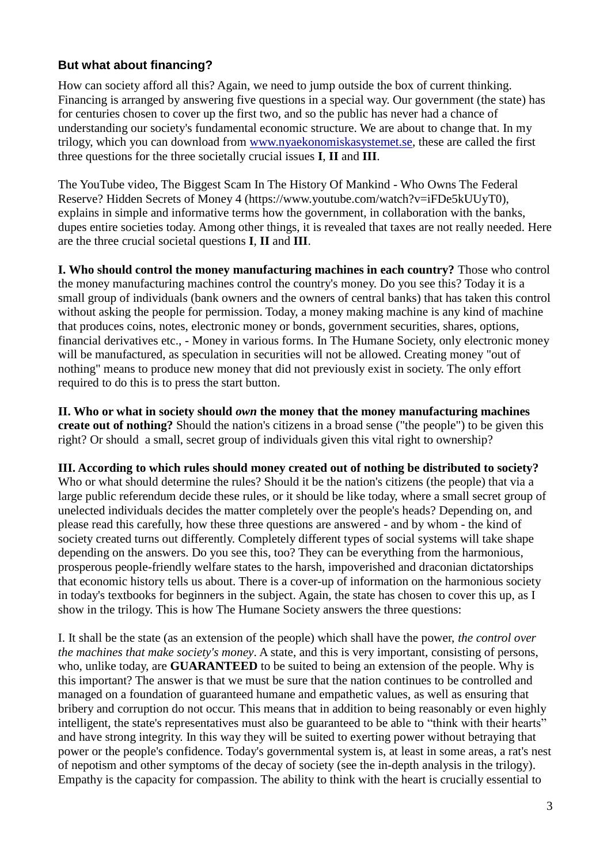## **But what about financing?**

How can society afford all this? Again, we need to jump outside the box of current thinking. Financing is arranged by answering five questions in a special way. Our government (the state) has for centuries chosen to cover up the first two, and so the public has never had a chance of understanding our society's fundamental economic structure. We are about to change that. In my trilogy, which you can download from [www.nyaekonomiskasystemet.se,](http://www.nyaekonomiskasystemet.se/) these are called the first three questions for the three societally crucial issues **I**, **II** and **III**.

The YouTube video, The Biggest Scam In The History Of Mankind - Who Owns The Federal Reserve? Hidden Secrets of Money 4 (https://www.youtube.com/watch?v=iFDe5kUUyT0), explains in simple and informative terms how the government, in collaboration with the banks, dupes entire societies today. Among other things, it is revealed that taxes are not really needed. Here are the three crucial societal questions **I**, **II** and **III**.

**I. Who should control the money manufacturing machines in each country?** Those who control the money manufacturing machines control the country's money. Do you see this? Today it is a small group of individuals (bank owners and the owners of central banks) that has taken this control without asking the people for permission. Today, a money making machine is any kind of machine that produces coins, notes, electronic money or bonds, government securities, shares, options, financial derivatives etc., - Money in various forms. In The Humane Society, only electronic money will be manufactured, as speculation in securities will not be allowed. Creating money "out of nothing" means to produce new money that did not previously exist in society. The only effort required to do this is to press the start button.

**II. Who or what in society should** *own* **the money that the money manufacturing machines create out of nothing?** Should the nation's citizens in a broad sense ("the people") to be given this right? Or should a small, secret group of individuals given this vital right to ownership?

**III. According to which rules should money created out of nothing be distributed to society?** Who or what should determine the rules? Should it be the nation's citizens (the people) that via a large public referendum decide these rules, or it should be like today, where a small secret group of unelected individuals decides the matter completely over the people's heads? Depending on, and please read this carefully, how these three questions are answered - and by whom - the kind of society created turns out differently. Completely different types of social systems will take shape depending on the answers. Do you see this, too? They can be everything from the harmonious, prosperous people-friendly welfare states to the harsh, impoverished and draconian dictatorships that economic history tells us about. There is a cover-up of information on the harmonious society in today's textbooks for beginners in the subject. Again, the state has chosen to cover this up, as I show in the trilogy. This is how The Humane Society answers the three questions:

I. It shall be the state (as an extension of the people) which shall have the power, *the control over the machines that make society's money*. A state, and this is very important, consisting of persons, who, unlike today, are **GUARANTEED** to be suited to being an extension of the people. Why is this important? The answer is that we must be sure that the nation continues to be controlled and managed on a foundation of guaranteed humane and empathetic values, as well as ensuring that bribery and corruption do not occur. This means that in addition to being reasonably or even highly intelligent, the state's representatives must also be guaranteed to be able to "think with their hearts" and have strong integrity. In this way they will be suited to exerting power without betraying that power or the people's confidence. Today's governmental system is, at least in some areas, a rat's nest of nepotism and other symptoms of the decay of society (see the in-depth analysis in the trilogy). Empathy is the capacity for compassion. The ability to think with the heart is crucially essential to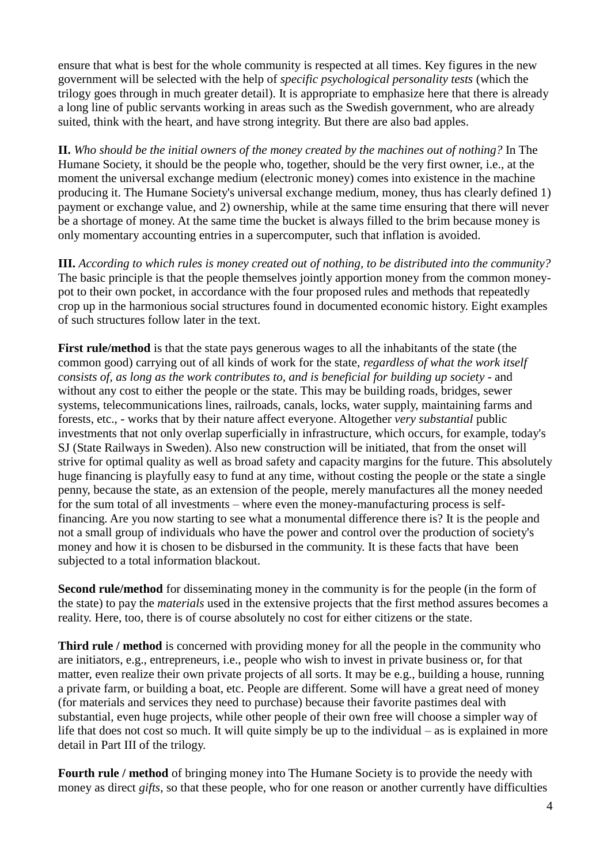ensure that what is best for the whole community is respected at all times. Key figures in the new government will be selected with the help of *specific psychological personality tests* (which the trilogy goes through in much greater detail). It is appropriate to emphasize here that there is already a long line of public servants working in areas such as the Swedish government, who are already suited, think with the heart, and have strong integrity. But there are also bad apples.

**II.** *Who should be the initial owners of the money created by the machines out of nothing?* In The Humane Society, it should be the people who, together, should be the very first owner, i.e., at the moment the universal exchange medium (electronic money) comes into existence in the machine producing it. The Humane Society's universal exchange medium, money, thus has clearly defined 1) payment or exchange value, and 2) ownership, while at the same time ensuring that there will never be a shortage of money. At the same time the bucket is always filled to the brim because money is only momentary accounting entries in a supercomputer, such that inflation is avoided.

**III.** *According to which rules is money created out of nothing, to be distributed into the community?* The basic principle is that the people themselves jointly apportion money from the common moneypot to their own pocket, in accordance with the four proposed rules and methods that repeatedly crop up in the harmonious social structures found in documented economic history. Eight examples of such structures follow later in the text.

**First rule/method** is that the state pays generous wages to all the inhabitants of the state (the common good) carrying out of all kinds of work for the state, *regardless of what the work itself consists of, as long as the work contributes to, and is beneficial for building up society* - and without any cost to either the people or the state. This may be building roads, bridges, sewer systems, telecommunications lines, railroads, canals, locks, water supply, maintaining farms and forests, etc., - works that by their nature affect everyone. Altogether *very substantial* public investments that not only overlap superficially in infrastructure, which occurs, for example, today's SJ (State Railways in Sweden). Also new construction will be initiated, that from the onset will strive for optimal quality as well as broad safety and capacity margins for the future. This absolutely huge financing is playfully easy to fund at any time, without costing the people or the state a single penny, because the state, as an extension of the people, merely manufactures all the money needed for the sum total of all investments – where even the money-manufacturing process is selffinancing. Are you now starting to see what a monumental difference there is? It is the people and not a small group of individuals who have the power and control over the production of society's money and how it is chosen to be disbursed in the community. It is these facts that have been subjected to a total information blackout.

**Second rule/method** for disseminating money in the community is for the people (in the form of the state) to pay the *materials* used in the extensive projects that the first method assures becomes a reality. Here, too, there is of course absolutely no cost for either citizens or the state.

**Third rule / method** is concerned with providing money for all the people in the community who are initiators, e.g., entrepreneurs, i.e., people who wish to invest in private business or, for that matter, even realize their own private projects of all sorts. It may be e.g., building a house, running a private farm, or building a boat, etc. People are different. Some will have a great need of money (for materials and services they need to purchase) because their favorite pastimes deal with substantial, even huge projects, while other people of their own free will choose a simpler way of life that does not cost so much. It will quite simply be up to the individual – as is explained in more detail in Part III of the trilogy.

**Fourth rule / method** of bringing money into The Humane Society is to provide the needy with money as direct *gifts*, so that these people, who for one reason or another currently have difficulties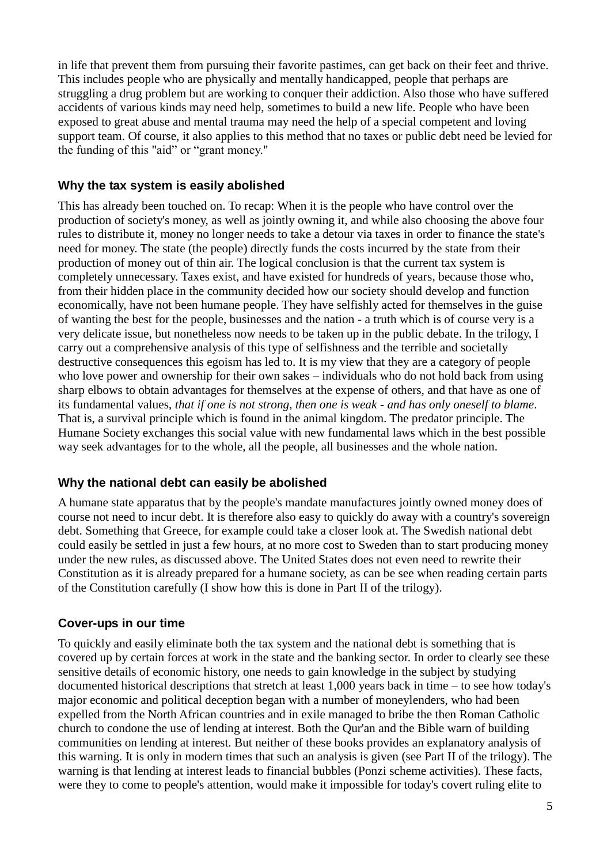in life that prevent them from pursuing their favorite pastimes, can get back on their feet and thrive. This includes people who are physically and mentally handicapped, people that perhaps are struggling a drug problem but are working to conquer their addiction. Also those who have suffered accidents of various kinds may need help, sometimes to build a new life. People who have been exposed to great abuse and mental trauma may need the help of a special competent and loving support team. Of course, it also applies to this method that no taxes or public debt need be levied for the funding of this "aid" or "grant money."

## **Why the tax system is easily abolished**

This has already been touched on. To recap: When it is the people who have control over the production of society's money, as well as jointly owning it, and while also choosing the above four rules to distribute it, money no longer needs to take a detour via taxes in order to finance the state's need for money. The state (the people) directly funds the costs incurred by the state from their production of money out of thin air. The logical conclusion is that the current tax system is completely unnecessary. Taxes exist, and have existed for hundreds of years, because those who, from their hidden place in the community decided how our society should develop and function economically, have not been humane people. They have selfishly acted for themselves in the guise of wanting the best for the people, businesses and the nation - a truth which is of course very is a very delicate issue, but nonetheless now needs to be taken up in the public debate. In the trilogy, I carry out a comprehensive analysis of this type of selfishness and the terrible and societally destructive consequences this egoism has led to. It is my view that they are a category of people who love power and ownership for their own sakes – individuals who do not hold back from using sharp elbows to obtain advantages for themselves at the expense of others, and that have as one of its fundamental values, *that if one is not strong, then one is weak - and has only oneself to blame*. That is, a survival principle which is found in the animal kingdom. The predator principle. The Humane Society exchanges this social value with new fundamental laws which in the best possible way seek advantages for to the whole, all the people, all businesses and the whole nation.

#### **Why the national debt can easily be abolished**

A humane state apparatus that by the people's mandate manufactures jointly owned money does of course not need to incur debt. It is therefore also easy to quickly do away with a country's sovereign debt. Something that Greece, for example could take a closer look at. The Swedish national debt could easily be settled in just a few hours, at no more cost to Sweden than to start producing money under the new rules, as discussed above. The United States does not even need to rewrite their Constitution as it is already prepared for a humane society, as can be see when reading certain parts of the Constitution carefully (I show how this is done in Part II of the trilogy).

#### **Cover-ups in our time**

To quickly and easily eliminate both the tax system and the national debt is something that is covered up by certain forces at work in the state and the banking sector. In order to clearly see these sensitive details of economic history, one needs to gain knowledge in the subject by studying documented historical descriptions that stretch at least 1,000 years back in time – to see how today's major economic and political deception began with a number of moneylenders, who had been expelled from the North African countries and in exile managed to bribe the then Roman Catholic church to condone the use of lending at interest. Both the Qur'an and the Bible warn of building communities on lending at interest. But neither of these books provides an explanatory analysis of this warning. It is only in modern times that such an analysis is given (see Part II of the trilogy). The warning is that lending at interest leads to financial bubbles (Ponzi scheme activities). These facts, were they to come to people's attention, would make it impossible for today's covert ruling elite to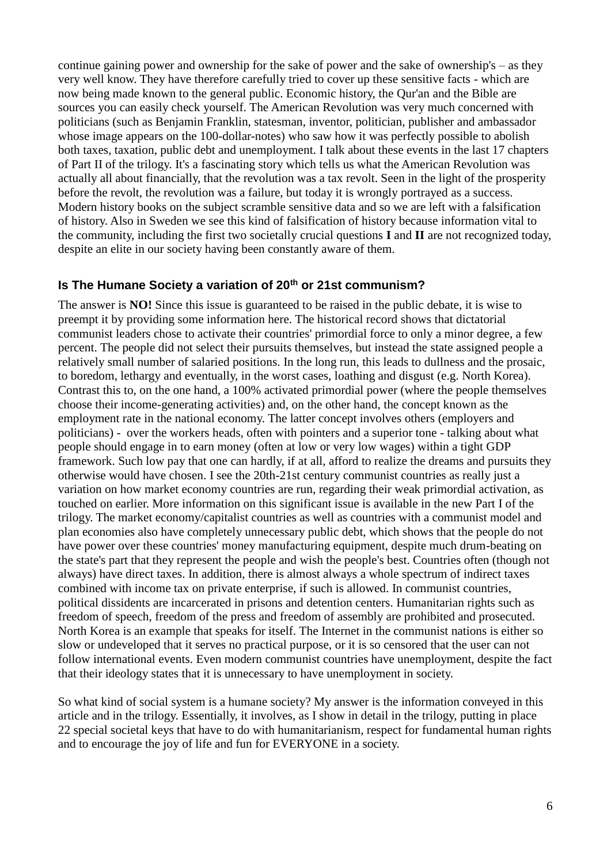continue gaining power and ownership for the sake of power and the sake of ownership's – as they very well know. They have therefore carefully tried to cover up these sensitive facts - which are now being made known to the general public. Economic history, the Qur'an and the Bible are sources you can easily check yourself. The American Revolution was very much concerned with politicians (such as Benjamin Franklin, statesman, inventor, politician, publisher and ambassador whose image appears on the 100-dollar-notes) who saw how it was perfectly possible to abolish both taxes, taxation, public debt and unemployment. I talk about these events in the last 17 chapters of Part II of the trilogy. It's a fascinating story which tells us what the American Revolution was actually all about financially, that the revolution was a tax revolt. Seen in the light of the prosperity before the revolt, the revolution was a failure, but today it is wrongly portrayed as a success. Modern history books on the subject scramble sensitive data and so we are left with a falsification of history. Also in Sweden we see this kind of falsification of history because information vital to the community, including the first two societally crucial questions **I** and **II** are not recognized today, despite an elite in our society having been constantly aware of them.

#### **Is The Humane Society a variation of 20th or 21st communism?**

The answer is **NO!** Since this issue is guaranteed to be raised in the public debate, it is wise to preempt it by providing some information here. The historical record shows that dictatorial communist leaders chose to activate their countries' primordial force to only a minor degree, a few percent. The people did not select their pursuits themselves, but instead the state assigned people a relatively small number of salaried positions. In the long run, this leads to dullness and the prosaic, to boredom, lethargy and eventually, in the worst cases, loathing and disgust (e.g. North Korea). Contrast this to, on the one hand, a 100% activated primordial power (where the people themselves choose their income-generating activities) and, on the other hand, the concept known as the employment rate in the national economy. The latter concept involves others (employers and politicians) - over the workers heads, often with pointers and a superior tone - talking about what people should engage in to earn money (often at low or very low wages) within a tight GDP framework. Such low pay that one can hardly, if at all, afford to realize the dreams and pursuits they otherwise would have chosen. I see the 20th-21st century communist countries as really just a variation on how market economy countries are run, regarding their weak primordial activation, as touched on earlier. More information on this significant issue is available in the new Part I of the trilogy. The market economy/capitalist countries as well as countries with a communist model and plan economies also have completely unnecessary public debt, which shows that the people do not have power over these countries' money manufacturing equipment, despite much drum-beating on the state's part that they represent the people and wish the people's best. Countries often (though not always) have direct taxes. In addition, there is almost always a whole spectrum of indirect taxes combined with income tax on private enterprise, if such is allowed. In communist countries, political dissidents are incarcerated in prisons and detention centers. Humanitarian rights such as freedom of speech, freedom of the press and freedom of assembly are prohibited and prosecuted. North Korea is an example that speaks for itself. The Internet in the communist nations is either so slow or undeveloped that it serves no practical purpose, or it is so censored that the user can not follow international events. Even modern communist countries have unemployment, despite the fact that their ideology states that it is unnecessary to have unemployment in society.

So what kind of social system is a humane society? My answer is the information conveyed in this article and in the trilogy. Essentially, it involves, as I show in detail in the trilogy, putting in place 22 special societal keys that have to do with humanitarianism, respect for fundamental human rights and to encourage the joy of life and fun for EVERYONE in a society.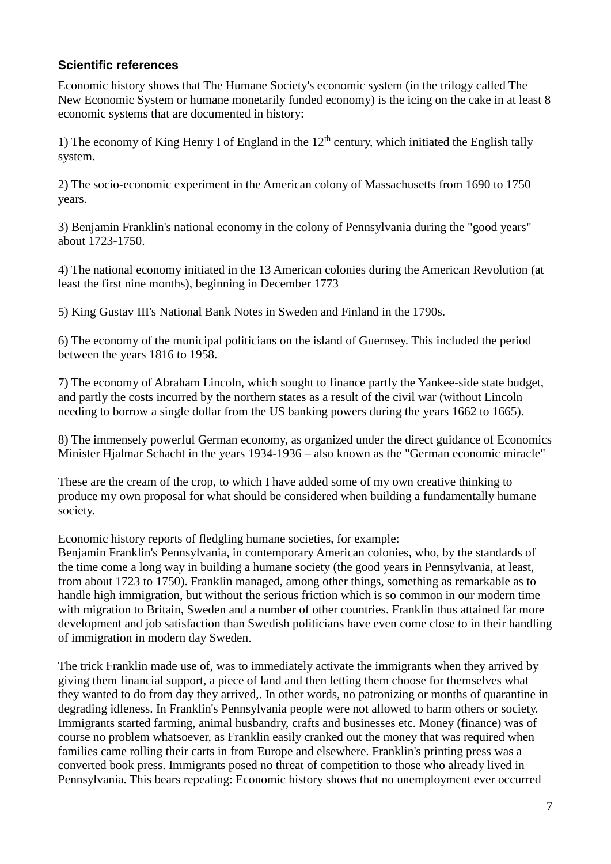## **Scientific references**

Economic history shows that The Humane Society's economic system (in the trilogy called The New Economic System or humane monetarily funded economy) is the icing on the cake in at least 8 economic systems that are documented in history:

1) The economy of King Henry I of England in the  $12<sup>th</sup>$  century, which initiated the English tally system.

2) The socio-economic experiment in the American colony of Massachusetts from 1690 to 1750 years.

3) Benjamin Franklin's national economy in the colony of Pennsylvania during the "good years" about 1723-1750.

4) The national economy initiated in the 13 American colonies during the American Revolution (at least the first nine months), beginning in December 1773

5) King Gustav III's National Bank Notes in Sweden and Finland in the 1790s.

6) The economy of the municipal politicians on the island of Guernsey. This included the period between the years 1816 to 1958.

7) The economy of Abraham Lincoln, which sought to finance partly the Yankee-side state budget, and partly the costs incurred by the northern states as a result of the civil war (without Lincoln needing to borrow a single dollar from the US banking powers during the years 1662 to 1665).

8) The immensely powerful German economy, as organized under the direct guidance of Economics Minister Hjalmar Schacht in the years 1934-1936 – also known as the "German economic miracle"

These are the cream of the crop, to which I have added some of my own creative thinking to produce my own proposal for what should be considered when building a fundamentally humane society.

Economic history reports of fledgling humane societies, for example:

Benjamin Franklin's Pennsylvania, in contemporary American colonies, who, by the standards of the time come a long way in building a humane society (the good years in Pennsylvania, at least, from about 1723 to 1750). Franklin managed, among other things, something as remarkable as to handle high immigration, but without the serious friction which is so common in our modern time with migration to Britain, Sweden and a number of other countries. Franklin thus attained far more development and job satisfaction than Swedish politicians have even come close to in their handling of immigration in modern day Sweden.

The trick Franklin made use of, was to immediately activate the immigrants when they arrived by giving them financial support, a piece of land and then letting them choose for themselves what they wanted to do from day they arrived,. In other words, no patronizing or months of quarantine in degrading idleness. In Franklin's Pennsylvania people were not allowed to harm others or society. Immigrants started farming, animal husbandry, crafts and businesses etc. Money (finance) was of course no problem whatsoever, as Franklin easily cranked out the money that was required when families came rolling their carts in from Europe and elsewhere. Franklin's printing press was a converted book press. Immigrants posed no threat of competition to those who already lived in Pennsylvania. This bears repeating: Economic history shows that no unemployment ever occurred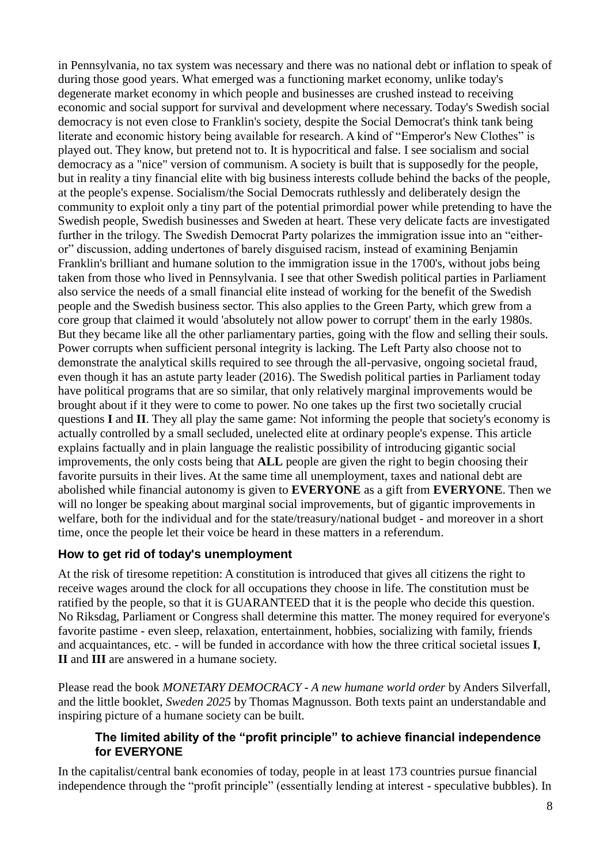in Pennsylvania, no tax system was necessary and there was no national debt or inflation to speak of during those good years. What emerged was a functioning market economy, unlike today's degenerate market economy in which people and businesses are crushed instead to receiving economic and social support for survival and development where necessary. Today's Swedish social democracy is not even close to Franklin's society, despite the Social Democrat's think tank being literate and economic history being available for research. A kind of "Emperor's New Clothes" is played out. They know, but pretend not to. It is hypocritical and false. I see socialism and social democracy as a "nice" version of communism. A society is built that is supposedly for the people, but in reality a tiny financial elite with big business interests collude behind the backs of the people, at the people's expense. Socialism/the Social Democrats ruthlessly and deliberately design the community to exploit only a tiny part of the potential primordial power while pretending to have the Swedish people, Swedish businesses and Sweden at heart. These very delicate facts are investigated further in the trilogy. The Swedish Democrat Party polarizes the immigration issue into an "eitheror" discussion, adding undertones of barely disguised racism, instead of examining Benjamin Franklin's brilliant and humane solution to the immigration issue in the 1700's, without jobs being taken from those who lived in Pennsylvania. I see that other Swedish political parties in Parliament also service the needs of a small financial elite instead of working for the benefit of the Swedish people and the Swedish business sector. This also applies to the Green Party, which grew from a core group that claimed it would 'absolutely not allow power to corrupt' them in the early 1980s. But they became like all the other parliamentary parties, going with the flow and selling their souls. Power corrupts when sufficient personal integrity is lacking. The Left Party also choose not to demonstrate the analytical skills required to see through the all-pervasive, ongoing societal fraud, even though it has an astute party leader (2016). The Swedish political parties in Parliament today have political programs that are so similar, that only relatively marginal improvements would be brought about if it they were to come to power. No one takes up the first two societally crucial questions **I** and **II**. They all play the same game: Not informing the people that society's economy is actually controlled by a small secluded, unelected elite at ordinary people's expense. This article explains factually and in plain language the realistic possibility of introducing gigantic social improvements, the only costs being that **ALL** people are given the right to begin choosing their favorite pursuits in their lives. At the same time all unemployment, taxes and national debt are abolished while financial autonomy is given to **EVERYONE** as a gift from **EVERYONE**. Then we will no longer be speaking about marginal social improvements, but of gigantic improvements in welfare, both for the individual and for the state/treasury/national budget - and moreover in a short time, once the people let their voice be heard in these matters in a referendum.

# **How to get rid of today's unemployment**

At the risk of tiresome repetition: A constitution is introduced that gives all citizens the right to receive wages around the clock for all occupations they choose in life. The constitution must be ratified by the people, so that it is GUARANTEED that it is the people who decide this question. No Riksdag, Parliament or Congress shall determine this matter. The money required for everyone's favorite pastime - even sleep, relaxation, entertainment, hobbies, socializing with family, friends and acquaintances, etc. - will be funded in accordance with how the three critical societal issues **I**, **II** and **III** are answered in a humane society.

Please read the book *MONETARY DEMOCRACY - A new humane world order* by Anders Silverfall, and the little booklet, *Sweden 2025* by Thomas Magnusson. Both texts paint an understandable and inspiring picture of a humane society can be built.

## **The limited ability of the "profit principle" to achieve financial independence for EVERYONE**

In the capitalist/central bank economies of today, people in at least 173 countries pursue financial independence through the "profit principle" (essentially lending at interest - speculative bubbles). In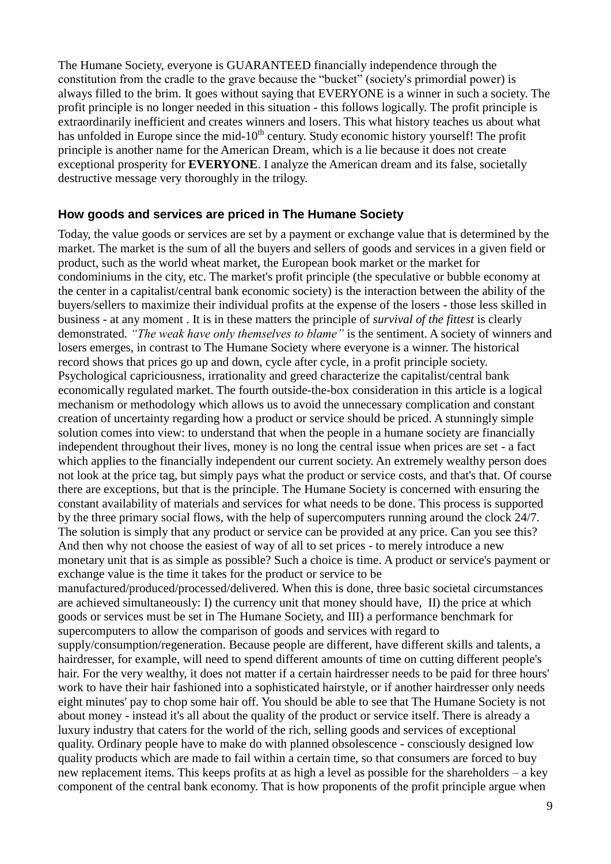The Humane Society, everyone is GUARANTEED financially independence through the constitution from the cradle to the grave because the "bucket" (society's primordial power) is always filled to the brim. It goes without saying that EVERYONE is a winner in such a society. The profit principle is no longer needed in this situation - this follows logically. The profit principle is extraordinarily inefficient and creates winners and losers. This what history teaches us about what has unfolded in Europe since the mid-10<sup>th</sup> century. Study economic history yourself! The profit principle is another name for the American Dream, which is a lie because it does not create exceptional prosperity for **EVERYONE**. I analyze the American dream and its false, societally destructive message very thoroughly in the trilogy.

#### **How goods and services are priced in The Humane Society**

Today, the value goods or services are set by a payment or exchange value that is determined by the market. The market is the sum of all the buyers and sellers of goods and services in a given field or product, such as the world wheat market, the European book market or the market for condominiums in the city, etc. The market's profit principle (the speculative or bubble economy at the center in a capitalist/central bank economic society) is the interaction between the ability of the buyers/sellers to maximize their individual profits at the expense of the losers - those less skilled in business - at any moment . It is in these matters the principle of *survival of the fittest* is clearly demonstrated. *"The weak have only themselves to blame"* is the sentiment. A society of winners and losers emerges, in contrast to The Humane Society where everyone is a winner. The historical record shows that prices go up and down, cycle after cycle, in a profit principle society. Psychological capriciousness, irrationality and greed characterize the capitalist/central bank economically regulated market. The fourth outside-the-box consideration in this article is a logical mechanism or methodology which allows us to avoid the unnecessary complication and constant creation of uncertainty regarding how a product or service should be priced. A stunningly simple solution comes into view: to understand that when the people in a humane society are financially independent throughout their lives, money is no long the central issue when prices are set - a fact which applies to the financially independent our current society. An extremely wealthy person does not look at the price tag, but simply pays what the product or service costs, and that's that. Of course there are exceptions, but that is the principle. The Humane Society is concerned with ensuring the constant availability of materials and services for what needs to be done. This process is supported by the three primary social flows, with the help of supercomputers running around the clock 24/7. The solution is simply that any product or service can be provided at any price. Can you see this? And then why not choose the easiest of way of all to set prices - to merely introduce a new monetary unit that is as simple as possible? Such a choice is time. A product or service's payment or exchange value is the time it takes for the product or service to be

manufactured/produced/processed/delivered. When this is done, three basic societal circumstances are achieved simultaneously: I) the currency unit that money should have, II) the price at which goods or services must be set in The Humane Society, and III) a performance benchmark for supercomputers to allow the comparison of goods and services with regard to

supply/consumption/regeneration. Because people are different, have different skills and talents, a hairdresser, for example, will need to spend different amounts of time on cutting different people's hair. For the very wealthy, it does not matter if a certain hairdresser needs to be paid for three hours' work to have their hair fashioned into a sophisticated hairstyle, or if another hairdresser only needs eight minutes' pay to chop some hair off. You should be able to see that The Humane Society is not about money - instead it's all about the quality of the product or service itself. There is already a luxury industry that caters for the world of the rich, selling goods and services of exceptional quality. Ordinary people have to make do with planned obsolescence - consciously designed low quality products which are made to fail within a certain time, so that consumers are forced to buy new replacement items. This keeps profits at as high a level as possible for the shareholders – a key component of the central bank economy. That is how proponents of the profit principle argue when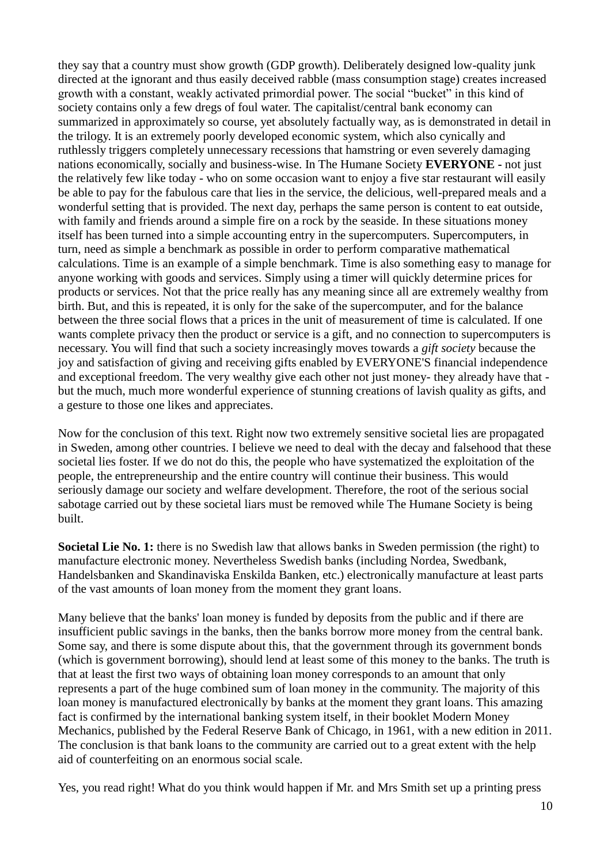they say that a country must show growth (GDP growth). Deliberately designed low-quality junk directed at the ignorant and thus easily deceived rabble (mass consumption stage) creates increased growth with a constant, weakly activated primordial power. The social "bucket" in this kind of society contains only a few dregs of foul water. The capitalist/central bank economy can summarized in approximately so course, yet absolutely factually way, as is demonstrated in detail in the trilogy. It is an extremely poorly developed economic system, which also cynically and ruthlessly triggers completely unnecessary recessions that hamstring or even severely damaging nations economically, socially and business-wise. In The Humane Society **EVERYONE -** not just the relatively few like today - who on some occasion want to enjoy a five star restaurant will easily be able to pay for the fabulous care that lies in the service, the delicious, well-prepared meals and a wonderful setting that is provided. The next day, perhaps the same person is content to eat outside, with family and friends around a simple fire on a rock by the seaside. In these situations money itself has been turned into a simple accounting entry in the supercomputers. Supercomputers, in turn, need as simple a benchmark as possible in order to perform comparative mathematical calculations. Time is an example of a simple benchmark. Time is also something easy to manage for anyone working with goods and services. Simply using a timer will quickly determine prices for products or services. Not that the price really has any meaning since all are extremely wealthy from birth. But, and this is repeated, it is only for the sake of the supercomputer, and for the balance between the three social flows that a prices in the unit of measurement of time is calculated. If one wants complete privacy then the product or service is a gift, and no connection to supercomputers is necessary. You will find that such a society increasingly moves towards a *gift society* because the joy and satisfaction of giving and receiving gifts enabled by EVERYONE'S financial independence and exceptional freedom. The very wealthy give each other not just money- they already have that but the much, much more wonderful experience of stunning creations of lavish quality as gifts, and a gesture to those one likes and appreciates.

Now for the conclusion of this text. Right now two extremely sensitive societal lies are propagated in Sweden, among other countries. I believe we need to deal with the decay and falsehood that these societal lies foster. If we do not do this, the people who have systematized the exploitation of the people, the entrepreneurship and the entire country will continue their business. This would seriously damage our society and welfare development. Therefore, the root of the serious social sabotage carried out by these societal liars must be removed while The Humane Society is being built.

**Societal Lie No. 1:** there is no Swedish law that allows banks in Sweden permission (the right) to manufacture electronic money. Nevertheless Swedish banks (including Nordea, Swedbank, Handelsbanken and Skandinaviska Enskilda Banken, etc.) electronically manufacture at least parts of the vast amounts of loan money from the moment they grant loans.

Many believe that the banks' loan money is funded by deposits from the public and if there are insufficient public savings in the banks, then the banks borrow more money from the central bank. Some say, and there is some dispute about this, that the government through its government bonds (which is government borrowing), should lend at least some of this money to the banks. The truth is that at least the first two ways of obtaining loan money corresponds to an amount that only represents a part of the huge combined sum of loan money in the community. The majority of this loan money is manufactured electronically by banks at the moment they grant loans. This amazing fact is confirmed by the international banking system itself, in their booklet Modern Money Mechanics, published by the Federal Reserve Bank of Chicago, in 1961, with a new edition in 2011. The conclusion is that bank loans to the community are carried out to a great extent with the help aid of counterfeiting on an enormous social scale.

Yes, you read right! What do you think would happen if Mr. and Mrs Smith set up a printing press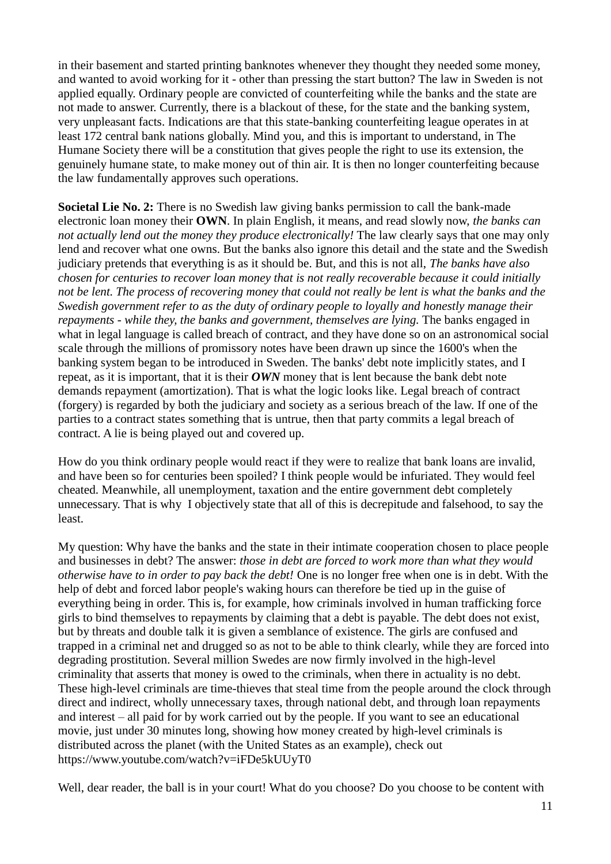in their basement and started printing banknotes whenever they thought they needed some money, and wanted to avoid working for it - other than pressing the start button? The law in Sweden is not applied equally. Ordinary people are convicted of counterfeiting while the banks and the state are not made to answer. Currently, there is a blackout of these, for the state and the banking system, very unpleasant facts. Indications are that this state-banking counterfeiting league operates in at least 172 central bank nations globally. Mind you, and this is important to understand, in The Humane Society there will be a constitution that gives people the right to use its extension, the genuinely humane state, to make money out of thin air. It is then no longer counterfeiting because the law fundamentally approves such operations.

**Societal Lie No. 2:** There is no Swedish law giving banks permission to call the bank-made electronic loan money their **OWN**. In plain English, it means, and read slowly now, *the banks can not actually lend out the money they produce electronically!* The law clearly says that one may only lend and recover what one owns. But the banks also ignore this detail and the state and the Swedish judiciary pretends that everything is as it should be. But, and this is not all, *The banks have also chosen for centuries to recover loan money that is not really recoverable because it could initially not be lent. The process of recovering money that could not really be lent is what the banks and the Swedish government refer to as the duty of ordinary people to loyally and honestly manage their repayments - while they, the banks and government, themselves are lying.* The banks engaged in what in legal language is called breach of contract, and they have done so on an astronomical social scale through the millions of promissory notes have been drawn up since the 1600's when the banking system began to be introduced in Sweden. The banks' debt note implicitly states, and I repeat, as it is important, that it is their *OWN* money that is lent because the bank debt note demands repayment (amortization). That is what the logic looks like. Legal breach of contract (forgery) is regarded by both the judiciary and society as a serious breach of the law. If one of the parties to a contract states something that is untrue, then that party commits a legal breach of contract. A lie is being played out and covered up.

How do you think ordinary people would react if they were to realize that bank loans are invalid, and have been so for centuries been spoiled? I think people would be infuriated. They would feel cheated. Meanwhile, all unemployment, taxation and the entire government debt completely unnecessary. That is why I objectively state that all of this is decrepitude and falsehood, to say the least.

My question: Why have the banks and the state in their intimate cooperation chosen to place people and businesses in debt? The answer: *those in debt are forced to work more than what they would otherwise have to in order to pay back the debt!* One is no longer free when one is in debt. With the help of debt and forced labor people's waking hours can therefore be tied up in the guise of everything being in order. This is, for example, how criminals involved in human trafficking force girls to bind themselves to repayments by claiming that a debt is payable. The debt does not exist, but by threats and double talk it is given a semblance of existence. The girls are confused and trapped in a criminal net and drugged so as not to be able to think clearly, while they are forced into degrading prostitution. Several million Swedes are now firmly involved in the high-level criminality that asserts that money is owed to the criminals, when there in actuality is no debt. These high-level criminals are time-thieves that steal time from the people around the clock through direct and indirect, wholly unnecessary taxes, through national debt, and through loan repayments and interest – all paid for by work carried out by the people. If you want to see an educational movie, just under 30 minutes long, showing how money created by high-level criminals is distributed across the planet (with the United States as an example), check out https://www.youtube.com/watch?v=iFDe5kUUyT0

Well, dear reader, the ball is in your court! What do you choose? Do you choose to be content with